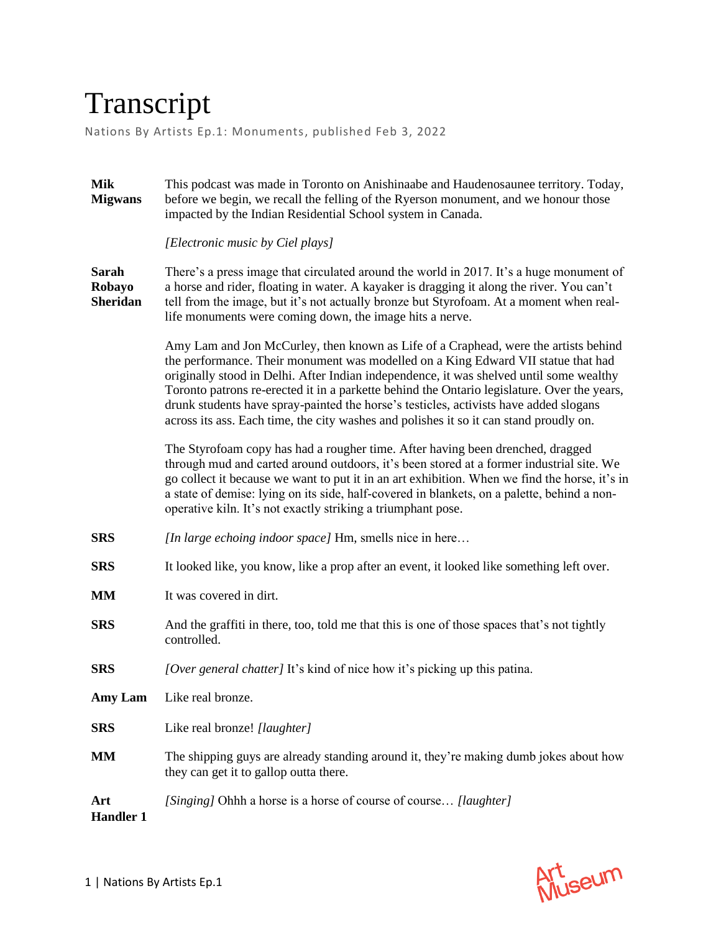## Transcript

Nations By Artists Ep.1: Monuments, published Feb 3, 2022

| <b>Mik</b><br><b>Migwans</b>              | This podcast was made in Toronto on Anishinaabe and Haudenosaunee territory. Today,<br>before we begin, we recall the felling of the Ryerson monument, and we honour those<br>impacted by the Indian Residential School system in Canada.                                                                                                                                                                                                                                                                                                             |
|-------------------------------------------|-------------------------------------------------------------------------------------------------------------------------------------------------------------------------------------------------------------------------------------------------------------------------------------------------------------------------------------------------------------------------------------------------------------------------------------------------------------------------------------------------------------------------------------------------------|
|                                           | [Electronic music by Ciel plays]                                                                                                                                                                                                                                                                                                                                                                                                                                                                                                                      |
| <b>Sarah</b><br>Robayo<br><b>Sheridan</b> | There's a press image that circulated around the world in 2017. It's a huge monument of<br>a horse and rider, floating in water. A kayaker is dragging it along the river. You can't<br>tell from the image, but it's not actually bronze but Styrofoam. At a moment when real-<br>life monuments were coming down, the image hits a nerve.                                                                                                                                                                                                           |
|                                           | Amy Lam and Jon McCurley, then known as Life of a Craphead, were the artists behind<br>the performance. Their monument was modelled on a King Edward VII statue that had<br>originally stood in Delhi. After Indian independence, it was shelved until some wealthy<br>Toronto patrons re-erected it in a parkette behind the Ontario legislature. Over the years,<br>drunk students have spray-painted the horse's testicles, activists have added slogans<br>across its ass. Each time, the city washes and polishes it so it can stand proudly on. |
|                                           | The Styrofoam copy has had a rougher time. After having been drenched, dragged<br>through mud and carted around outdoors, it's been stored at a former industrial site. We<br>go collect it because we want to put it in an art exhibition. When we find the horse, it's in<br>a state of demise: lying on its side, half-covered in blankets, on a palette, behind a non-<br>operative kiln. It's not exactly striking a triumphant pose.                                                                                                            |
| <b>SRS</b>                                | [In large echoing indoor space] Hm, smells nice in here                                                                                                                                                                                                                                                                                                                                                                                                                                                                                               |
| <b>SRS</b>                                | It looked like, you know, like a prop after an event, it looked like something left over.                                                                                                                                                                                                                                                                                                                                                                                                                                                             |
| <b>MM</b>                                 | It was covered in dirt.                                                                                                                                                                                                                                                                                                                                                                                                                                                                                                                               |
| <b>SRS</b>                                | And the graffiti in there, too, told me that this is one of those spaces that's not tightly<br>controlled.                                                                                                                                                                                                                                                                                                                                                                                                                                            |
| <b>SRS</b>                                | [Over general chatter] It's kind of nice how it's picking up this patina.                                                                                                                                                                                                                                                                                                                                                                                                                                                                             |
| Amy Lam                                   | Like real bronze.                                                                                                                                                                                                                                                                                                                                                                                                                                                                                                                                     |
| <b>SRS</b>                                | Like real bronze! [laughter]                                                                                                                                                                                                                                                                                                                                                                                                                                                                                                                          |
| <b>MM</b>                                 | The shipping guys are already standing around it, they're making dumb jokes about how<br>they can get it to gallop outta there.                                                                                                                                                                                                                                                                                                                                                                                                                       |
| Art<br><b>Handler 1</b>                   | [Singing] Ohhh a horse is a horse of course of course [laughter]                                                                                                                                                                                                                                                                                                                                                                                                                                                                                      |

Art<br>Museum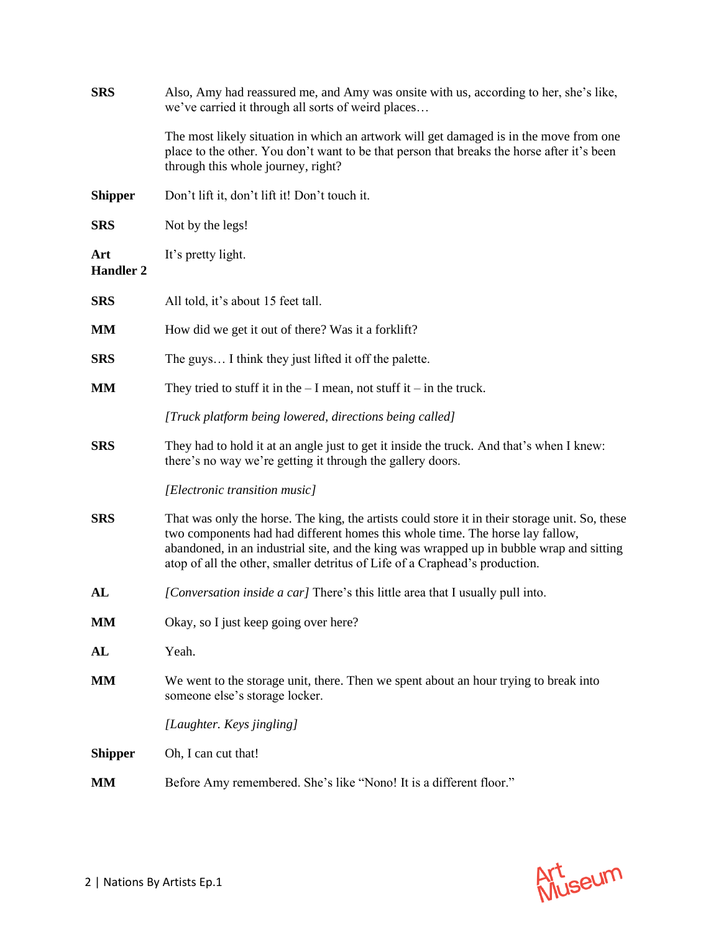| <b>SRS</b>              | Also, Amy had reassured me, and Amy was onsite with us, according to her, she's like,<br>we've carried it through all sorts of weird places                                                                                                                                                                                                                |
|-------------------------|------------------------------------------------------------------------------------------------------------------------------------------------------------------------------------------------------------------------------------------------------------------------------------------------------------------------------------------------------------|
|                         | The most likely situation in which an artwork will get damaged is in the move from one<br>place to the other. You don't want to be that person that breaks the horse after it's been<br>through this whole journey, right?                                                                                                                                 |
| <b>Shipper</b>          | Don't lift it, don't lift it! Don't touch it.                                                                                                                                                                                                                                                                                                              |
| <b>SRS</b>              | Not by the legs!                                                                                                                                                                                                                                                                                                                                           |
| Art<br><b>Handler 2</b> | It's pretty light.                                                                                                                                                                                                                                                                                                                                         |
| <b>SRS</b>              | All told, it's about 15 feet tall.                                                                                                                                                                                                                                                                                                                         |
| MM                      | How did we get it out of there? Was it a forklift?                                                                                                                                                                                                                                                                                                         |
| <b>SRS</b>              | The guys I think they just lifted it off the palette.                                                                                                                                                                                                                                                                                                      |
| <b>MM</b>               | They tried to stuff it in the $-I$ mean, not stuff it $-i$ in the truck.                                                                                                                                                                                                                                                                                   |
|                         | [Truck platform being lowered, directions being called]                                                                                                                                                                                                                                                                                                    |
| <b>SRS</b>              | They had to hold it at an angle just to get it inside the truck. And that's when I knew:<br>there's no way we're getting it through the gallery doors.                                                                                                                                                                                                     |
|                         | [Electronic transition music]                                                                                                                                                                                                                                                                                                                              |
| <b>SRS</b>              | That was only the horse. The king, the artists could store it in their storage unit. So, these<br>two components had had different homes this whole time. The horse lay fallow,<br>abandoned, in an industrial site, and the king was wrapped up in bubble wrap and sitting<br>atop of all the other, smaller detritus of Life of a Craphead's production. |
| AL                      | [Conversation inside a car] There's this little area that I usually pull into.                                                                                                                                                                                                                                                                             |
| MM                      | Okay, so I just keep going over here?                                                                                                                                                                                                                                                                                                                      |
| AL                      | Yeah.                                                                                                                                                                                                                                                                                                                                                      |
| MМ                      | We went to the storage unit, there. Then we spent about an hour trying to break into<br>someone else's storage locker.                                                                                                                                                                                                                                     |
|                         | [Laughter. Keys jingling]                                                                                                                                                                                                                                                                                                                                  |
| <b>Shipper</b>          | Oh, I can cut that!                                                                                                                                                                                                                                                                                                                                        |
| MM                      | Before Amy remembered. She's like "Nono! It is a different floor."                                                                                                                                                                                                                                                                                         |

Art<br>Museum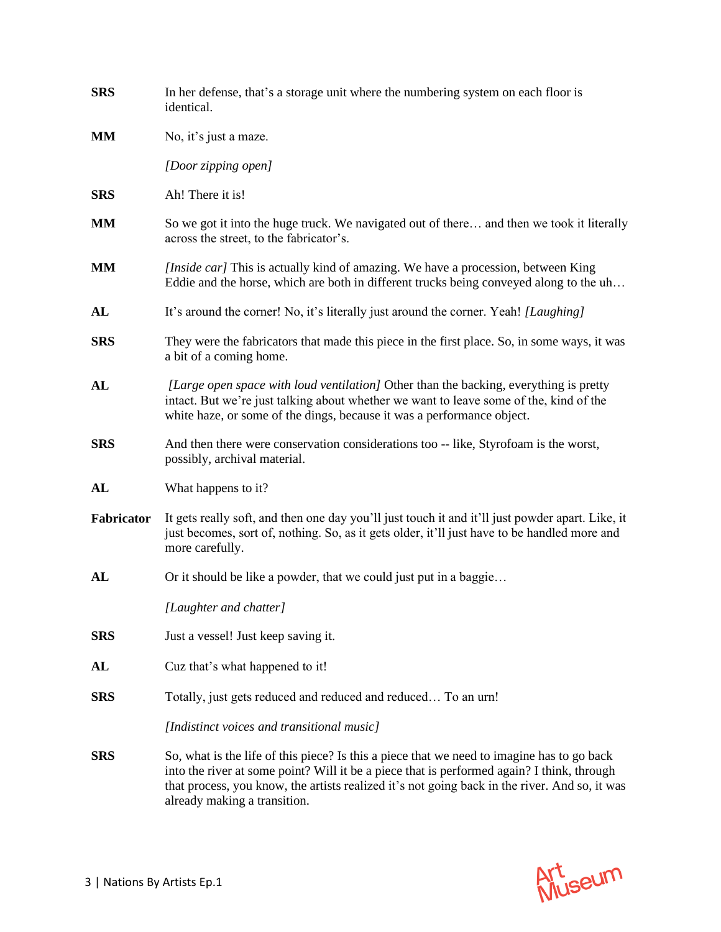| <b>SRS</b> | In her defense, that's a storage unit where the numbering system on each floor is<br>identical.                                                                                                                                                                                                                           |
|------------|---------------------------------------------------------------------------------------------------------------------------------------------------------------------------------------------------------------------------------------------------------------------------------------------------------------------------|
| MM         | No, it's just a maze.                                                                                                                                                                                                                                                                                                     |
|            | [Door zipping open]                                                                                                                                                                                                                                                                                                       |
| <b>SRS</b> | Ah! There it is!                                                                                                                                                                                                                                                                                                          |
| <b>MM</b>  | So we got it into the huge truck. We navigated out of there and then we took it literally<br>across the street, to the fabricator's.                                                                                                                                                                                      |
| <b>MM</b>  | [Inside car] This is actually kind of amazing. We have a procession, between King<br>Eddie and the horse, which are both in different trucks being conveyed along to the uh                                                                                                                                               |
| AL         | It's around the corner! No, it's literally just around the corner. Yeah! [Laughing]                                                                                                                                                                                                                                       |
| <b>SRS</b> | They were the fabricators that made this piece in the first place. So, in some ways, it was<br>a bit of a coming home.                                                                                                                                                                                                    |
| AL         | [Large open space with loud ventilation] Other than the backing, everything is pretty<br>intact. But we're just talking about whether we want to leave some of the, kind of the<br>white haze, or some of the dings, because it was a performance object.                                                                 |
| <b>SRS</b> | And then there were conservation considerations too -- like, Styrofoam is the worst,<br>possibly, archival material.                                                                                                                                                                                                      |
| AL         | What happens to it?                                                                                                                                                                                                                                                                                                       |
| Fabricator | It gets really soft, and then one day you'll just touch it and it'll just powder apart. Like, it<br>just becomes, sort of, nothing. So, as it gets older, it'll just have to be handled more and<br>more carefully.                                                                                                       |
| AL         | Or it should be like a powder, that we could just put in a baggie                                                                                                                                                                                                                                                         |
|            | [Laughter and chatter]                                                                                                                                                                                                                                                                                                    |
| <b>SRS</b> | Just a vessel! Just keep saving it.                                                                                                                                                                                                                                                                                       |
| AL         | Cuz that's what happened to it!                                                                                                                                                                                                                                                                                           |
| <b>SRS</b> | Totally, just gets reduced and reduced and reduced To an urn!                                                                                                                                                                                                                                                             |
|            | [Indistinct voices and transitional music]                                                                                                                                                                                                                                                                                |
| <b>SRS</b> | So, what is the life of this piece? Is this a piece that we need to imagine has to go back<br>into the river at some point? Will it be a piece that is performed again? I think, through<br>that process, you know, the artists realized it's not going back in the river. And so, it was<br>already making a transition. |

Art<br>Museum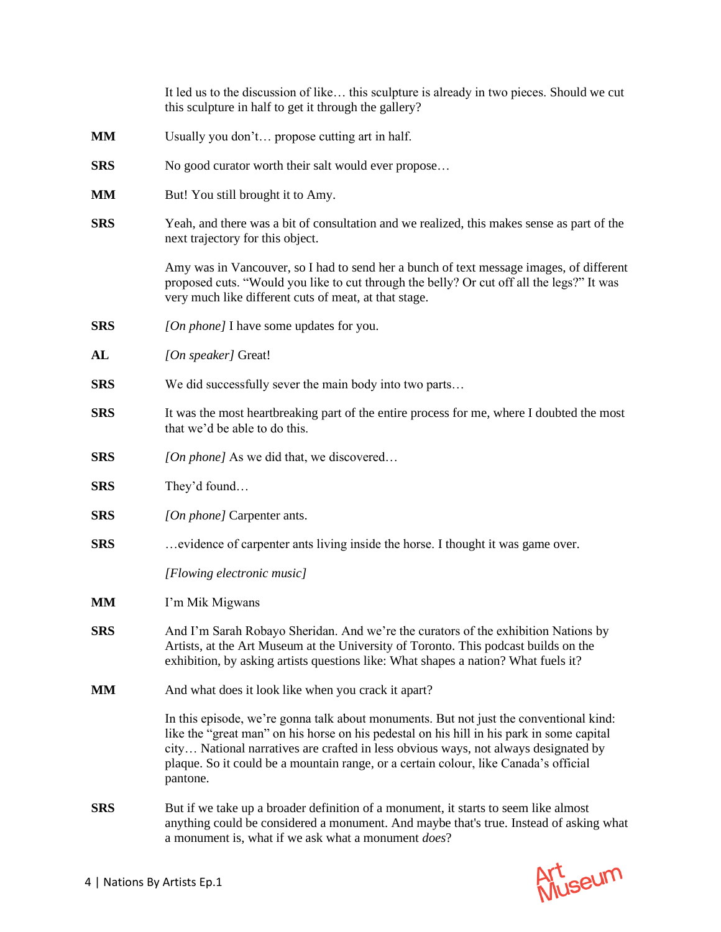|            | It led us to the discussion of like this sculpture is already in two pieces. Should we cut<br>this sculpture in half to get it through the gallery?                                                                                                                                                                                                                            |
|------------|--------------------------------------------------------------------------------------------------------------------------------------------------------------------------------------------------------------------------------------------------------------------------------------------------------------------------------------------------------------------------------|
| MM         | Usually you don't propose cutting art in half.                                                                                                                                                                                                                                                                                                                                 |
| <b>SRS</b> | No good curator worth their salt would ever propose                                                                                                                                                                                                                                                                                                                            |
| <b>MM</b>  | But! You still brought it to Amy.                                                                                                                                                                                                                                                                                                                                              |
| <b>SRS</b> | Yeah, and there was a bit of consultation and we realized, this makes sense as part of the<br>next trajectory for this object.                                                                                                                                                                                                                                                 |
|            | Amy was in Vancouver, so I had to send her a bunch of text message images, of different<br>proposed cuts. "Would you like to cut through the belly? Or cut off all the legs?" It was<br>very much like different cuts of meat, at that stage.                                                                                                                                  |
| <b>SRS</b> | [On phone] I have some updates for you.                                                                                                                                                                                                                                                                                                                                        |
| AL         | [On speaker] Great!                                                                                                                                                                                                                                                                                                                                                            |
| <b>SRS</b> | We did successfully sever the main body into two parts                                                                                                                                                                                                                                                                                                                         |
| <b>SRS</b> | It was the most heartbreaking part of the entire process for me, where I doubted the most<br>that we'd be able to do this.                                                                                                                                                                                                                                                     |
| <b>SRS</b> | [On phone] As we did that, we discovered                                                                                                                                                                                                                                                                                                                                       |
| <b>SRS</b> | They'd found                                                                                                                                                                                                                                                                                                                                                                   |
| <b>SRS</b> | [On phone] Carpenter ants.                                                                                                                                                                                                                                                                                                                                                     |
| <b>SRS</b> | evidence of carpenter ants living inside the horse. I thought it was game over.                                                                                                                                                                                                                                                                                                |
|            | [Flowing electronic music]                                                                                                                                                                                                                                                                                                                                                     |
| MM         | I'm Mik Migwans                                                                                                                                                                                                                                                                                                                                                                |
| <b>SRS</b> | And I'm Sarah Robayo Sheridan. And we're the curators of the exhibition Nations by<br>Artists, at the Art Museum at the University of Toronto. This podcast builds on the<br>exhibition, by asking artists questions like: What shapes a nation? What fuels it?                                                                                                                |
| <b>MM</b>  | And what does it look like when you crack it apart?                                                                                                                                                                                                                                                                                                                            |
|            | In this episode, we're gonna talk about monuments. But not just the conventional kind:<br>like the "great man" on his horse on his pedestal on his hill in his park in some capital<br>city National narratives are crafted in less obvious ways, not always designated by<br>plaque. So it could be a mountain range, or a certain colour, like Canada's official<br>pantone. |
| <b>SRS</b> | But if we take up a broader definition of a monument, it starts to seem like almost<br>anything could be considered a monument. And maybe that's true. Instead of asking what<br>a monument is, what if we ask what a monument does?                                                                                                                                           |

Art<br>Museum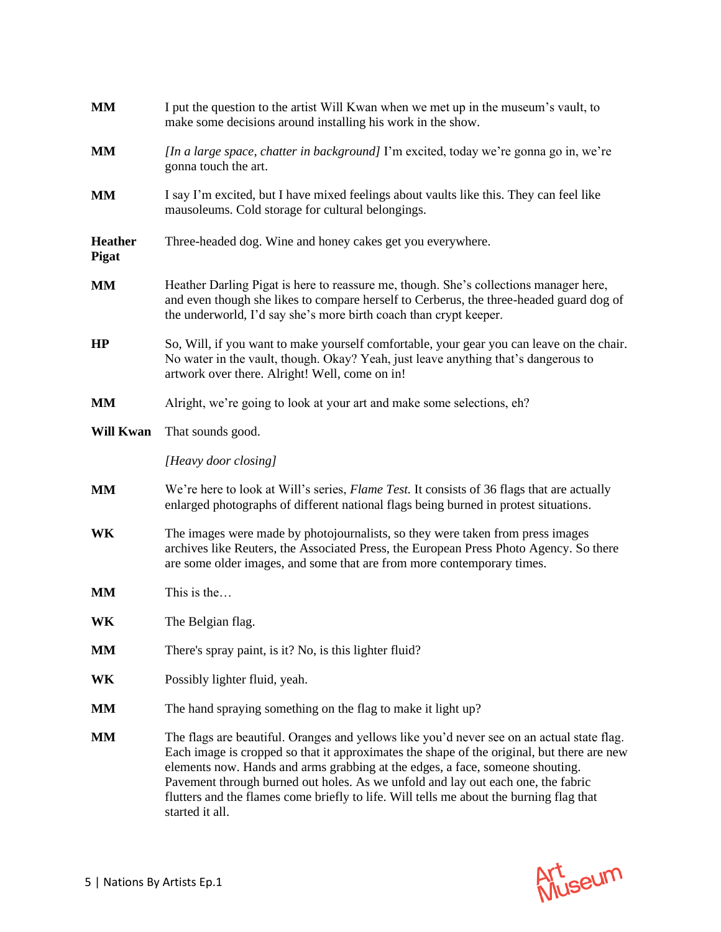| <b>MM</b>                      | I put the question to the artist Will Kwan when we met up in the museum's vault, to<br>make some decisions around installing his work in the show.                                                                                                                                                                                                                                                                                                                          |
|--------------------------------|-----------------------------------------------------------------------------------------------------------------------------------------------------------------------------------------------------------------------------------------------------------------------------------------------------------------------------------------------------------------------------------------------------------------------------------------------------------------------------|
| <b>MM</b>                      | [In a large space, chatter in background] I'm excited, today we're gonna go in, we're<br>gonna touch the art.                                                                                                                                                                                                                                                                                                                                                               |
| <b>MM</b>                      | I say I'm excited, but I have mixed feelings about vaults like this. They can feel like<br>mausoleums. Cold storage for cultural belongings.                                                                                                                                                                                                                                                                                                                                |
| <b>Heather</b><br><b>Pigat</b> | Three-headed dog. Wine and honey cakes get you everywhere.                                                                                                                                                                                                                                                                                                                                                                                                                  |
| <b>MM</b>                      | Heather Darling Pigat is here to reassure me, though. She's collections manager here,<br>and even though she likes to compare herself to Cerberus, the three-headed guard dog of<br>the underworld, I'd say she's more birth coach than crypt keeper.                                                                                                                                                                                                                       |
| HP                             | So, Will, if you want to make yourself comfortable, your gear you can leave on the chair.<br>No water in the vault, though. Okay? Yeah, just leave anything that's dangerous to<br>artwork over there. Alright! Well, come on in!                                                                                                                                                                                                                                           |
| <b>MM</b>                      | Alright, we're going to look at your art and make some selections, eh?                                                                                                                                                                                                                                                                                                                                                                                                      |
| <b>Will Kwan</b>               | That sounds good.                                                                                                                                                                                                                                                                                                                                                                                                                                                           |
|                                | [Heavy door closing]                                                                                                                                                                                                                                                                                                                                                                                                                                                        |
| <b>MM</b>                      | We're here to look at Will's series, Flame Test. It consists of 36 flags that are actually<br>enlarged photographs of different national flags being burned in protest situations.                                                                                                                                                                                                                                                                                          |
| <b>WK</b>                      | The images were made by photojournalists, so they were taken from press images<br>archives like Reuters, the Associated Press, the European Press Photo Agency. So there<br>are some older images, and some that are from more contemporary times.                                                                                                                                                                                                                          |
| <b>MM</b>                      | This is the                                                                                                                                                                                                                                                                                                                                                                                                                                                                 |
| WK                             | The Belgian flag.                                                                                                                                                                                                                                                                                                                                                                                                                                                           |
| <b>MM</b>                      | There's spray paint, is it? No, is this lighter fluid?                                                                                                                                                                                                                                                                                                                                                                                                                      |
| WK                             | Possibly lighter fluid, yeah.                                                                                                                                                                                                                                                                                                                                                                                                                                               |
| <b>MM</b>                      | The hand spraying something on the flag to make it light up?                                                                                                                                                                                                                                                                                                                                                                                                                |
| <b>MM</b>                      | The flags are beautiful. Oranges and yellows like you'd never see on an actual state flag.<br>Each image is cropped so that it approximates the shape of the original, but there are new<br>elements now. Hands and arms grabbing at the edges, a face, someone shouting.<br>Pavement through burned out holes. As we unfold and lay out each one, the fabric<br>flutters and the flames come briefly to life. Will tells me about the burning flag that<br>started it all. |

Art<br>Museum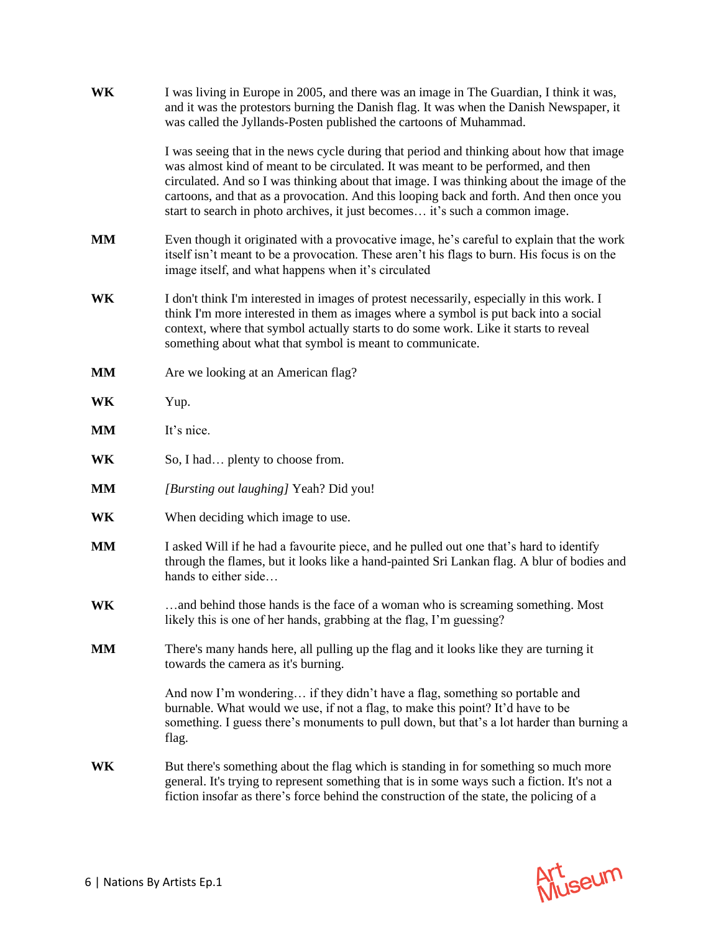| WK        | I was living in Europe in 2005, and there was an image in The Guardian, I think it was,<br>and it was the protestors burning the Danish flag. It was when the Danish Newspaper, it<br>was called the Jyllands-Posten published the cartoons of Muhammad.                                                                                                                                                                                              |
|-----------|-------------------------------------------------------------------------------------------------------------------------------------------------------------------------------------------------------------------------------------------------------------------------------------------------------------------------------------------------------------------------------------------------------------------------------------------------------|
|           | I was seeing that in the news cycle during that period and thinking about how that image<br>was almost kind of meant to be circulated. It was meant to be performed, and then<br>circulated. And so I was thinking about that image. I was thinking about the image of the<br>cartoons, and that as a provocation. And this looping back and forth. And then once you<br>start to search in photo archives, it just becomes it's such a common image. |
| <b>MM</b> | Even though it originated with a provocative image, he's careful to explain that the work<br>itself isn't meant to be a provocation. These aren't his flags to burn. His focus is on the<br>image itself, and what happens when it's circulated                                                                                                                                                                                                       |
| WK        | I don't think I'm interested in images of protest necessarily, especially in this work. I<br>think I'm more interested in them as images where a symbol is put back into a social<br>context, where that symbol actually starts to do some work. Like it starts to reveal<br>something about what that symbol is meant to communicate.                                                                                                                |
| MM        | Are we looking at an American flag?                                                                                                                                                                                                                                                                                                                                                                                                                   |
| WK        | Yup.                                                                                                                                                                                                                                                                                                                                                                                                                                                  |
| <b>MM</b> | It's nice.                                                                                                                                                                                                                                                                                                                                                                                                                                            |
| WK        | So, I had plenty to choose from.                                                                                                                                                                                                                                                                                                                                                                                                                      |
| <b>MM</b> | [Bursting out laughing] Yeah? Did you!                                                                                                                                                                                                                                                                                                                                                                                                                |
| WK        | When deciding which image to use.                                                                                                                                                                                                                                                                                                                                                                                                                     |
| MM        | I asked Will if he had a favourite piece, and he pulled out one that's hard to identify<br>through the flames, but it looks like a hand-painted Sri Lankan flag. A blur of bodies and<br>hands to either side                                                                                                                                                                                                                                         |
| WK        | and behind those hands is the face of a woman who is screaming something. Most<br>likely this is one of her hands, grabbing at the flag, I'm guessing?                                                                                                                                                                                                                                                                                                |
| MМ        | There's many hands here, all pulling up the flag and it looks like they are turning it<br>towards the camera as it's burning.                                                                                                                                                                                                                                                                                                                         |
|           | And now I'm wondering if they didn't have a flag, something so portable and<br>burnable. What would we use, if not a flag, to make this point? It'd have to be<br>something. I guess there's monuments to pull down, but that's a lot harder than burning a<br>flag.                                                                                                                                                                                  |
| WK        | But there's something about the flag which is standing in for something so much more<br>general. It's trying to represent something that is in some ways such a fiction. It's not a<br>fiction insofar as there's force behind the construction of the state, the policing of a                                                                                                                                                                       |

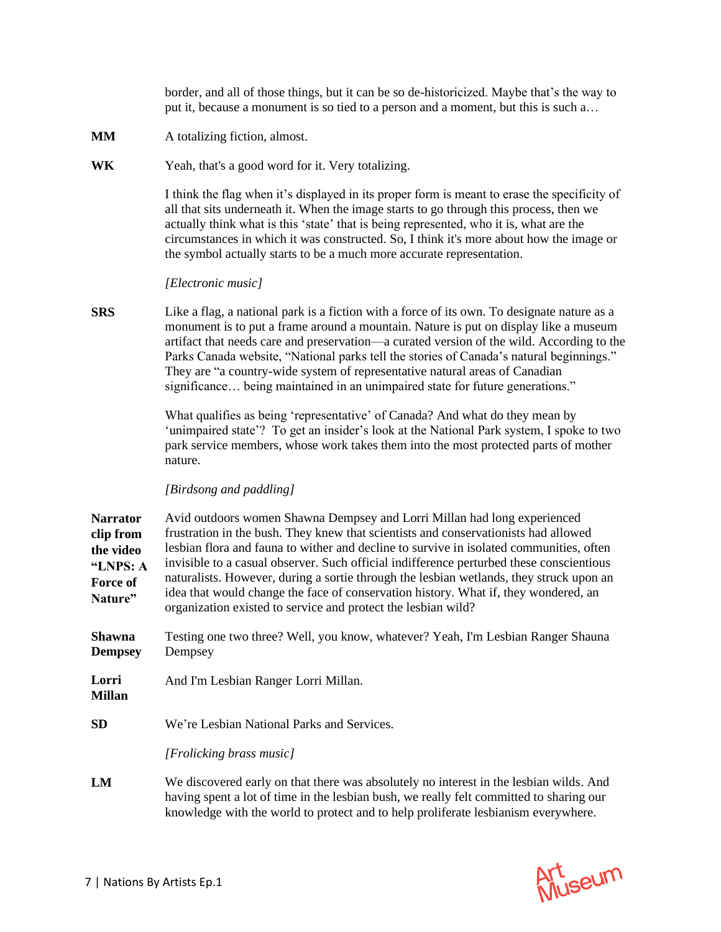border, and all of those things, but it can be so de-historicized. Maybe that's the way to put it, because a monument is so tied to a person and a moment, but this is such a…

**MM** A totalizing fiction, almost.

**WK** Yeah, that's a good word for it. Very totalizing.

I think the flag when it's displayed in its proper form is meant to erase the specificity of all that sits underneath it. When the image starts to go through this process, then we actually think what is this 'state' that is being represented, who it is, what are the circumstances in which it was constructed. So, I think it's more about how the image or the symbol actually starts to be a much more accurate representation.

## *[Electronic music]*

**SRS** Like a flag, a national park is a fiction with a force of its own. To designate nature as a monument is to put a frame around a mountain. Nature is put on display like a museum artifact that needs care and preservation—a curated version of the wild. According to the Parks Canada website, "National parks tell the stories of Canada's natural beginnings." They are "a country-wide system of representative natural areas of Canadian significance… being maintained in an unimpaired state for future generations."

> What qualifies as being 'representative' of Canada? And what do they mean by 'unimpaired state'? To get an insider's look at the National Park system, I spoke to two park service members, whose work takes them into the most protected parts of mother nature.

## *[Birdsong and paddling]*

**Narrator clip from the video "LNPS: A Force of Nature"** Avid outdoors women Shawna Dempsey and Lorri Millan had long experienced frustration in the bush. They knew that scientists and conservationists had allowed lesbian flora and fauna to wither and decline to survive in isolated communities, often invisible to a casual observer. Such official indifference perturbed these conscientious naturalists. However, during a sortie through the lesbian wetlands, they struck upon an idea that would change the face of conservation history. What if, they wondered, an organization existed to service and protect the lesbian wild?

**Shawna Dempsey** Testing one two three? Well, you know, whatever? Yeah, I'm Lesbian Ranger Shauna Dempsey

- **Lorri Millan** And I'm Lesbian Ranger Lorri Millan.
- **SD** We're Lesbian National Parks and Services.

*[Frolicking brass music]*

**LM** We discovered early on that there was absolutely no interest in the lesbian wilds. And having spent a lot of time in the lesbian bush, we really felt committed to sharing our knowledge with the world to protect and to help proliferate lesbianism everywhere.

Art seum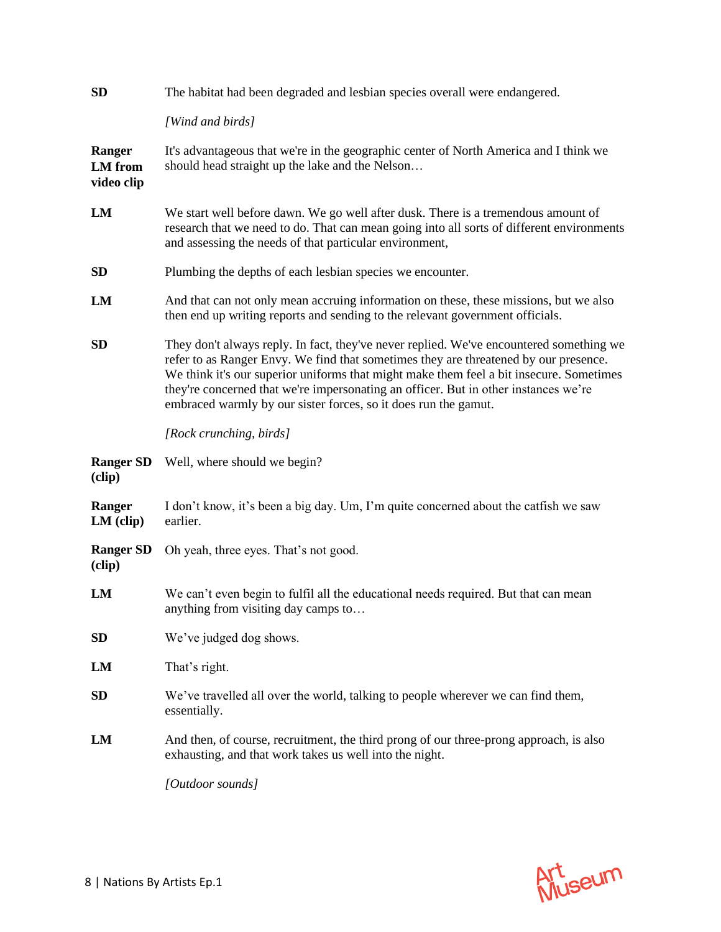| SD                                     | The habitat had been degraded and lesbian species overall were endangered.                                                                                                                                                                                                                                                                                                                                                           |
|----------------------------------------|--------------------------------------------------------------------------------------------------------------------------------------------------------------------------------------------------------------------------------------------------------------------------------------------------------------------------------------------------------------------------------------------------------------------------------------|
|                                        | [Wind and birds]                                                                                                                                                                                                                                                                                                                                                                                                                     |
| Ranger<br><b>LM</b> from<br>video clip | It's advantageous that we're in the geographic center of North America and I think we<br>should head straight up the lake and the Nelson                                                                                                                                                                                                                                                                                             |
| LM                                     | We start well before dawn. We go well after dusk. There is a tremendous amount of<br>research that we need to do. That can mean going into all sorts of different environments<br>and assessing the needs of that particular environment,                                                                                                                                                                                            |
| <b>SD</b>                              | Plumbing the depths of each lesbian species we encounter.                                                                                                                                                                                                                                                                                                                                                                            |
| LM                                     | And that can not only mean accruing information on these, these missions, but we also<br>then end up writing reports and sending to the relevant government officials.                                                                                                                                                                                                                                                               |
| <b>SD</b>                              | They don't always reply. In fact, they've never replied. We've encountered something we<br>refer to as Ranger Envy. We find that sometimes they are threatened by our presence.<br>We think it's our superior uniforms that might make them feel a bit insecure. Sometimes<br>they're concerned that we're impersonating an officer. But in other instances we're<br>embraced warmly by our sister forces, so it does run the gamut. |
|                                        | [Rock crunching, birds]                                                                                                                                                                                                                                                                                                                                                                                                              |
| <b>Ranger SD</b><br>(clip)             | Well, where should we begin?                                                                                                                                                                                                                                                                                                                                                                                                         |
| Ranger<br>$LM$ (clip)                  | I don't know, it's been a big day. Um, I'm quite concerned about the catfish we saw<br>earlier.                                                                                                                                                                                                                                                                                                                                      |
| <b>Ranger SD</b><br>(clip)             | Oh yeah, three eyes. That's not good.                                                                                                                                                                                                                                                                                                                                                                                                |
| LM                                     | We can't even begin to fulfil all the educational needs required. But that can mean<br>anything from visiting day camps to                                                                                                                                                                                                                                                                                                           |
| <b>SD</b>                              | We've judged dog shows.                                                                                                                                                                                                                                                                                                                                                                                                              |
| LM                                     | That's right.                                                                                                                                                                                                                                                                                                                                                                                                                        |
| <b>SD</b>                              | We've travelled all over the world, talking to people wherever we can find them,<br>essentially.                                                                                                                                                                                                                                                                                                                                     |
| LM                                     | And then, of course, recruitment, the third prong of our three-prong approach, is also<br>exhausting, and that work takes us well into the night.                                                                                                                                                                                                                                                                                    |
|                                        | [Outdoor sounds]                                                                                                                                                                                                                                                                                                                                                                                                                     |
|                                        |                                                                                                                                                                                                                                                                                                                                                                                                                                      |

Art<br>Museum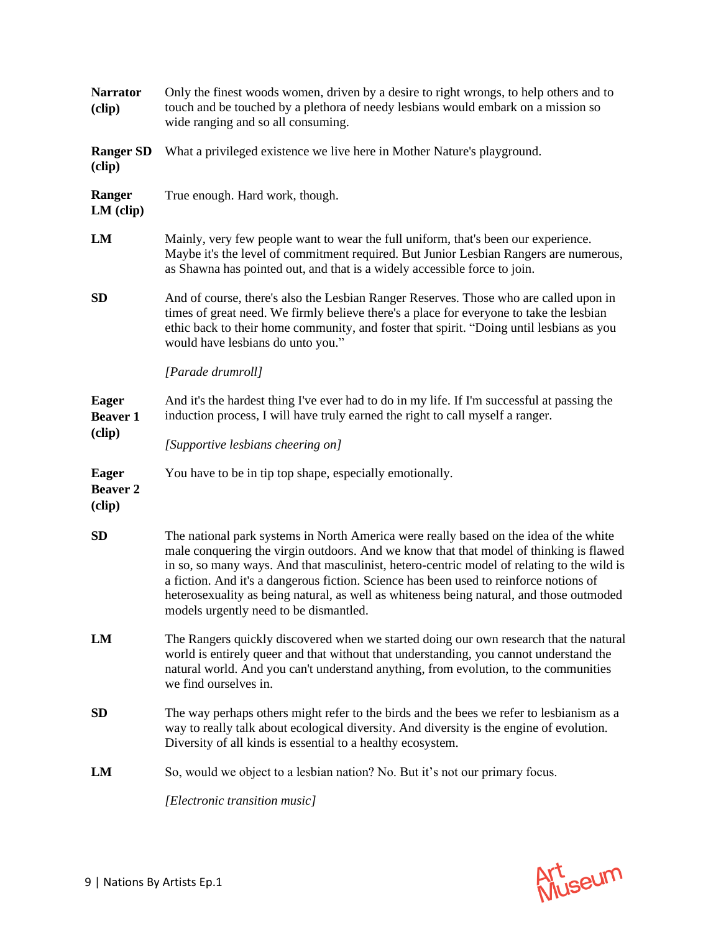| <b>Narrator</b><br>(clip)                 | Only the finest woods women, driven by a desire to right wrongs, to help others and to<br>touch and be touched by a plethora of needy lesbians would embark on a mission so<br>wide ranging and so all consuming.                                                                                                                                                                                                                                                                                             |
|-------------------------------------------|---------------------------------------------------------------------------------------------------------------------------------------------------------------------------------------------------------------------------------------------------------------------------------------------------------------------------------------------------------------------------------------------------------------------------------------------------------------------------------------------------------------|
| <b>Ranger SD</b><br>(clip)                | What a privileged existence we live here in Mother Nature's playground.                                                                                                                                                                                                                                                                                                                                                                                                                                       |
| Ranger<br>$LM$ (clip)                     | True enough. Hard work, though.                                                                                                                                                                                                                                                                                                                                                                                                                                                                               |
| LM                                        | Mainly, very few people want to wear the full uniform, that's been our experience.<br>Maybe it's the level of commitment required. But Junior Lesbian Rangers are numerous,<br>as Shawna has pointed out, and that is a widely accessible force to join.                                                                                                                                                                                                                                                      |
| <b>SD</b>                                 | And of course, there's also the Lesbian Ranger Reserves. Those who are called upon in<br>times of great need. We firmly believe there's a place for everyone to take the lesbian<br>ethic back to their home community, and foster that spirit. "Doing until lesbians as you<br>would have lesbians do unto you."                                                                                                                                                                                             |
|                                           | [Parade drumroll]                                                                                                                                                                                                                                                                                                                                                                                                                                                                                             |
| <b>Eager</b><br><b>Beaver 1</b>           | And it's the hardest thing I've ever had to do in my life. If I'm successful at passing the<br>induction process, I will have truly earned the right to call myself a ranger.                                                                                                                                                                                                                                                                                                                                 |
| (clip)                                    | [Supportive lesbians cheering on]                                                                                                                                                                                                                                                                                                                                                                                                                                                                             |
| <b>Eager</b><br><b>Beaver 2</b><br>(clip) | You have to be in tip top shape, especially emotionally.                                                                                                                                                                                                                                                                                                                                                                                                                                                      |
| SD                                        | The national park systems in North America were really based on the idea of the white<br>male conquering the virgin outdoors. And we know that that model of thinking is flawed<br>in so, so many ways. And that masculinist, hetero-centric model of relating to the wild is<br>a fiction. And it's a dangerous fiction. Science has been used to reinforce notions of<br>heterosexuality as being natural, as well as whiteness being natural, and those outmoded<br>models urgently need to be dismantled. |
| LM                                        | The Rangers quickly discovered when we started doing our own research that the natural<br>world is entirely queer and that without that understanding, you cannot understand the<br>natural world. And you can't understand anything, from evolution, to the communities<br>we find ourselves in.                                                                                                                                                                                                             |
| <b>SD</b>                                 | The way perhaps others might refer to the birds and the bees we refer to lesbianism as a<br>way to really talk about ecological diversity. And diversity is the engine of evolution.<br>Diversity of all kinds is essential to a healthy ecosystem.                                                                                                                                                                                                                                                           |
| LM                                        | So, would we object to a lesbian nation? No. But it's not our primary focus.                                                                                                                                                                                                                                                                                                                                                                                                                                  |
|                                           | [Electronic transition music]                                                                                                                                                                                                                                                                                                                                                                                                                                                                                 |

Art<br>Museum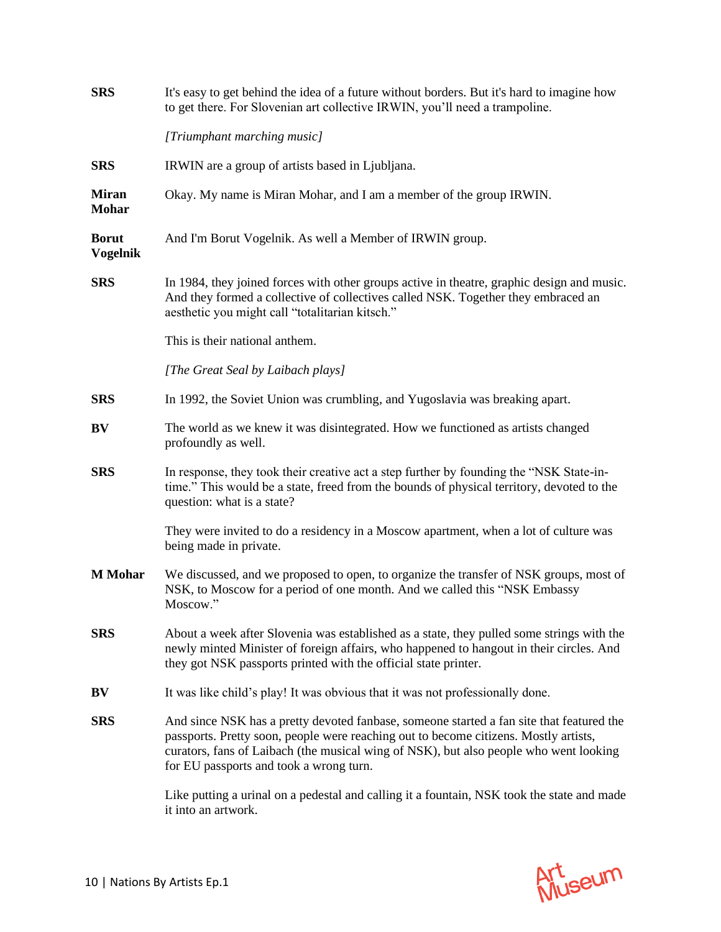| <b>SRS</b>                      | It's easy to get behind the idea of a future without borders. But it's hard to imagine how<br>to get there. For Slovenian art collective IRWIN, you'll need a trampoline.                                                                                                                                            |
|---------------------------------|----------------------------------------------------------------------------------------------------------------------------------------------------------------------------------------------------------------------------------------------------------------------------------------------------------------------|
|                                 | [Triumphant marching music]                                                                                                                                                                                                                                                                                          |
| <b>SRS</b>                      | IRWIN are a group of artists based in Ljubljana.                                                                                                                                                                                                                                                                     |
| <b>Miran</b><br><b>Mohar</b>    | Okay. My name is Miran Mohar, and I am a member of the group IRWIN.                                                                                                                                                                                                                                                  |
| <b>Borut</b><br><b>Vogelnik</b> | And I'm Borut Vogelnik. As well a Member of IRWIN group.                                                                                                                                                                                                                                                             |
| <b>SRS</b>                      | In 1984, they joined forces with other groups active in theatre, graphic design and music.<br>And they formed a collective of collectives called NSK. Together they embraced an<br>aesthetic you might call "totalitarian kitsch."                                                                                   |
|                                 | This is their national anthem.                                                                                                                                                                                                                                                                                       |
|                                 | [The Great Seal by Laibach plays]                                                                                                                                                                                                                                                                                    |
| <b>SRS</b>                      | In 1992, the Soviet Union was crumbling, and Yugoslavia was breaking apart.                                                                                                                                                                                                                                          |
| BV                              | The world as we knew it was disintegrated. How we functioned as artists changed<br>profoundly as well.                                                                                                                                                                                                               |
| <b>SRS</b>                      | In response, they took their creative act a step further by founding the "NSK State-in-<br>time." This would be a state, freed from the bounds of physical territory, devoted to the<br>question: what is a state?                                                                                                   |
|                                 | They were invited to do a residency in a Moscow apartment, when a lot of culture was<br>being made in private.                                                                                                                                                                                                       |
| <b>M</b> Mohar                  | We discussed, and we proposed to open, to organize the transfer of NSK groups, most of<br>NSK, to Moscow for a period of one month. And we called this "NSK Embassy<br>Moscow."                                                                                                                                      |
| <b>SRS</b>                      | About a week after Slovenia was established as a state, they pulled some strings with the<br>newly minted Minister of foreign affairs, who happened to hangout in their circles. And<br>they got NSK passports printed with the official state printer.                                                              |
| BV                              | It was like child's play! It was obvious that it was not professionally done.                                                                                                                                                                                                                                        |
| <b>SRS</b>                      | And since NSK has a pretty devoted fanbase, someone started a fan site that featured the<br>passports. Pretty soon, people were reaching out to become citizens. Mostly artists,<br>curators, fans of Laibach (the musical wing of NSK), but also people who went looking<br>for EU passports and took a wrong turn. |
|                                 | Like putting a urinal on a pedestal and calling it a fountain, NSK took the state and made<br>it into an artwork.                                                                                                                                                                                                    |

Art<br>Museum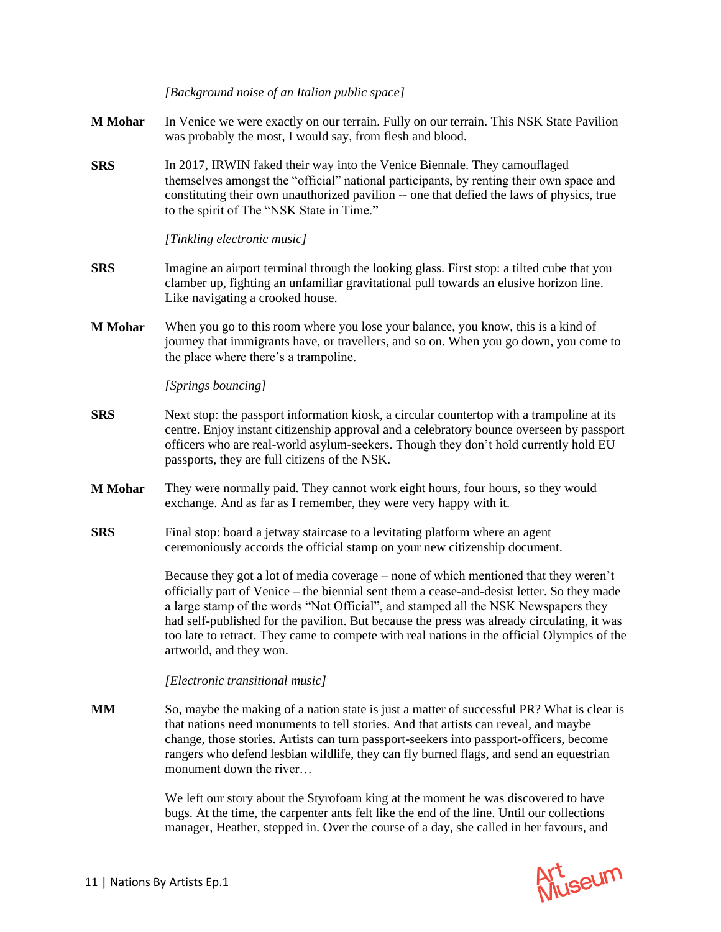*[Background noise of an Italian public space]*

- **M Mohar** In Venice we were exactly on our terrain. Fully on our terrain. This NSK State Pavilion was probably the most, I would say, from flesh and blood.
- **SRS** In 2017, IRWIN faked their way into the Venice Biennale. They camouflaged themselves amongst the "official" national participants, by renting their own space and constituting their own unauthorized pavilion -- one that defied the laws of physics, true to the spirit of The "NSK State in Time."

*[Tinkling electronic music]*

- **SRS** Imagine an airport terminal through the looking glass. First stop: a tilted cube that you clamber up, fighting an unfamiliar gravitational pull towards an elusive horizon line. Like navigating a crooked house.
- **M Mohar** When you go to this room where you lose your balance, you know, this is a kind of journey that immigrants have, or travellers, and so on. When you go down, you come to the place where there's a trampoline.

*[Springs bouncing]*

- **SRS** Next stop: the passport information kiosk, a circular countertop with a trampoline at its centre. Enjoy instant citizenship approval and a celebratory bounce overseen by passport officers who are real-world asylum-seekers. Though they don't hold currently hold EU passports, they are full citizens of the NSK.
- **M Mohar** They were normally paid. They cannot work eight hours, four hours, so they would exchange. And as far as I remember, they were very happy with it.
- **SRS** Final stop: board a jetway staircase to a levitating platform where an agent ceremoniously accords the official stamp on your new citizenship document.

Because they got a lot of media coverage – none of which mentioned that they weren't officially part of Venice – the biennial sent them a cease-and-desist letter. So they made a large stamp of the words "Not Official", and stamped all the NSK Newspapers they had self-published for the pavilion. But because the press was already circulating, it was too late to retract. They came to compete with real nations in the official Olympics of the artworld, and they won.

## *[Electronic transitional music]*

**MM** So, maybe the making of a nation state is just a matter of successful PR? What is clear is that nations need monuments to tell stories. And that artists can reveal, and maybe change, those stories. Artists can turn passport-seekers into passport-officers, become rangers who defend lesbian wildlife, they can fly burned flags, and send an equestrian monument down the river...

> We left our story about the Styrofoam king at the moment he was discovered to have bugs. At the time, the carpenter ants felt like the end of the line. Until our collections manager, Heather, stepped in. Over the course of a day, she called in her favours, and

Art<br>Museum